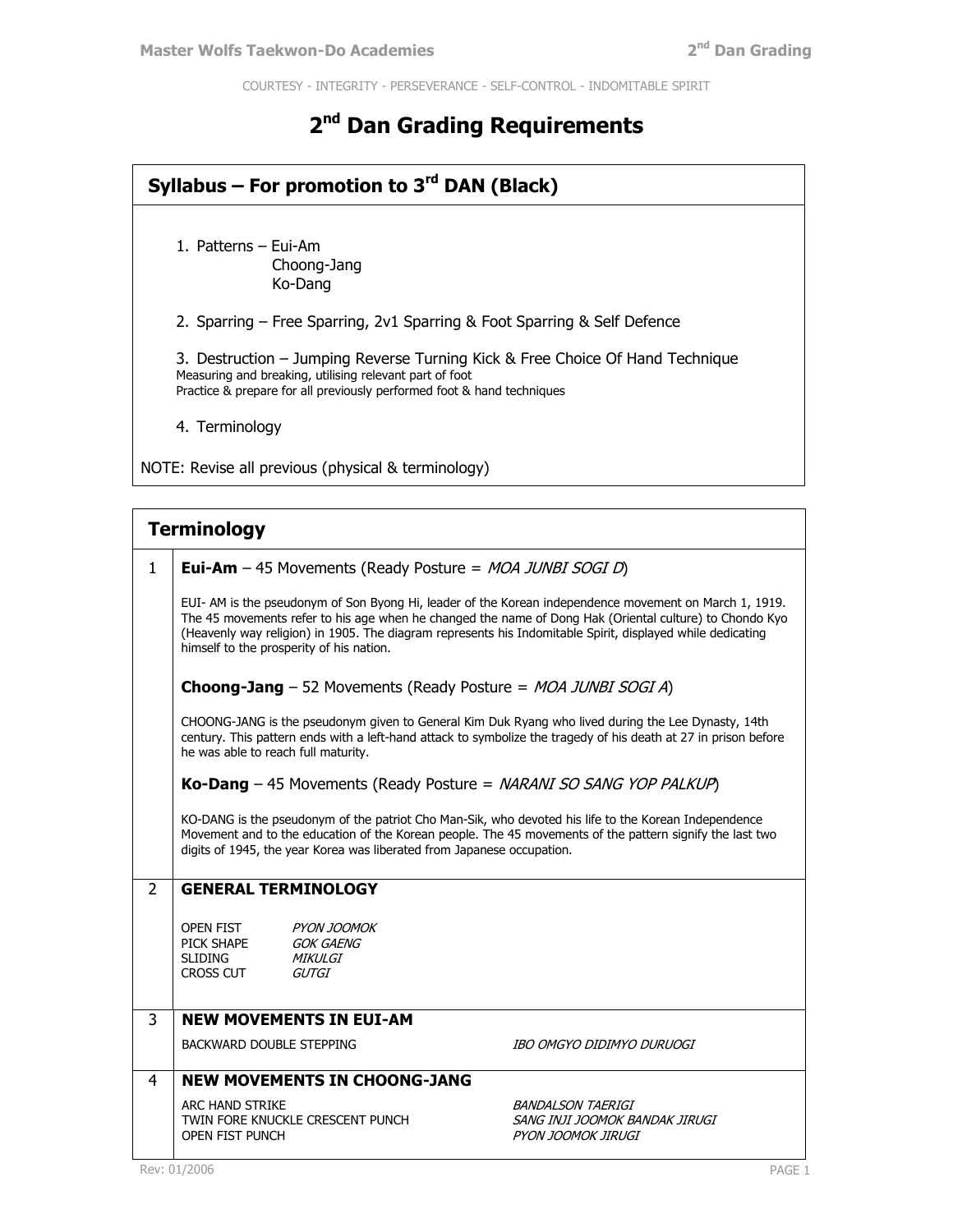COURTESY - INTEGRITY - PERSEVERANCE - SELF-CONTROL - INDOMITABLE SPIRIT

# **2 nd Dan Grading Requirements**

| Syllabus – For promotion to $3rd$ DAN (Black) |                                                                                                                                                                                                                                                                                                                                                                             |  |  |
|-----------------------------------------------|-----------------------------------------------------------------------------------------------------------------------------------------------------------------------------------------------------------------------------------------------------------------------------------------------------------------------------------------------------------------------------|--|--|
|                                               | 1. Patterns - Eui-Am<br>Choong-Jang<br>Ko-Dang                                                                                                                                                                                                                                                                                                                              |  |  |
|                                               | 2. Sparring - Free Sparring, 2v1 Sparring & Foot Sparring & Self Defence                                                                                                                                                                                                                                                                                                    |  |  |
|                                               | 3. Destruction - Jumping Reverse Turning Kick & Free Choice Of Hand Technique<br>Measuring and breaking, utilising relevant part of foot<br>Practice & prepare for all previously performed foot & hand techniques                                                                                                                                                          |  |  |
|                                               | 4. Terminology                                                                                                                                                                                                                                                                                                                                                              |  |  |
|                                               | NOTE: Revise all previous (physical & terminology)                                                                                                                                                                                                                                                                                                                          |  |  |
|                                               |                                                                                                                                                                                                                                                                                                                                                                             |  |  |
|                                               | <b>Terminology</b>                                                                                                                                                                                                                                                                                                                                                          |  |  |
| 1                                             | <b>Eui-Am</b> - 45 Movements (Ready Posture = $MOA$ JUNBI SOGI D)                                                                                                                                                                                                                                                                                                           |  |  |
|                                               | EUI- AM is the pseudonym of Son Byong Hi, leader of the Korean independence movement on March 1, 1919.<br>The 45 movements refer to his age when he changed the name of Dong Hak (Oriental culture) to Chondo Kyo<br>(Heavenly way religion) in 1905. The diagram represents his Indomitable Spirit, displayed while dedicating<br>himself to the prosperity of his nation. |  |  |
|                                               | <b>Choong-Jang</b> $-52$ Movements (Ready Posture = $MOA$ JUNBI SOGI A)                                                                                                                                                                                                                                                                                                     |  |  |
|                                               | CHOONG-JANG is the pseudonym given to General Kim Duk Ryang who lived during the Lee Dynasty, 14th<br>century. This pattern ends with a left-hand attack to symbolize the tragedy of his death at 27 in prison before<br>he was able to reach full maturity.                                                                                                                |  |  |
|                                               |                                                                                                                                                                                                                                                                                                                                                                             |  |  |

**Ko-Dang** – 45 Movements (Ready Posture = NARANI SO SANG YOP PALKUP)

KO-DANG is the pseudonym of the patriot Cho Man-Sik, who devoted his life to the Korean Independence Movement and to the education of the Korean people. The 45 movements of the pattern signify the last two digits of 1945, the year Korea was liberated from Japanese occupation.

### 2 **GENERAL TERMINOLOGY**

| <b>OPEN FIST</b> | <b>PYON IOOMOK</b> |
|------------------|--------------------|
| PICK SHAPE       | GOK GAENG          |
| <b>SLIDING</b>   | MIKULGI            |
| <b>CROSS CUT</b> | GUTGI              |
|                  |                    |

## 3 **NEW MOVEMENTS IN EUI-AM**

BACKWARD DOUBLE STEPPING **IBO OMGYO DIDIMYO DURUOGI** 

### 4 **NEW MOVEMENTS IN CHOONG-JANG**

ARC HAND STRIKE TWIN FORE KNUCKLE CRESCENT PUNCH OPEN FIST PUNCH

BANDALSON TAERIGI SANG INJI JOOMOK BANDAK JIRUGI PYON JOOMOK JIRUGI